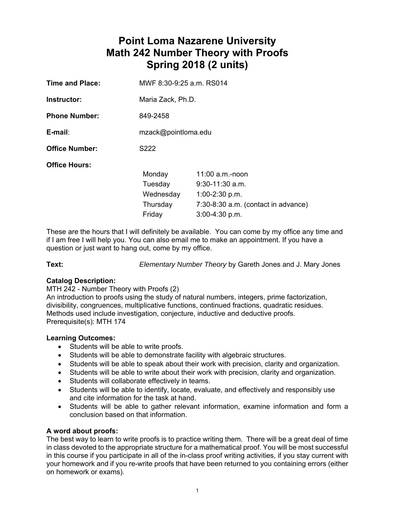# **Point Loma Nazarene University Math 242 Number Theory with Proofs Spring 2018 (2 units)**

| <b>Time and Place:</b> | MWF 8:30-9:25 a.m. RS014                             |                                                                                                                       |  |  |  |
|------------------------|------------------------------------------------------|-----------------------------------------------------------------------------------------------------------------------|--|--|--|
| Instructor:            | Maria Zack, Ph.D.                                    |                                                                                                                       |  |  |  |
| <b>Phone Number:</b>   | 849-2458                                             |                                                                                                                       |  |  |  |
| E-mail:                | mzack@pointloma.edu                                  |                                                                                                                       |  |  |  |
| <b>Office Number:</b>  | S222                                                 |                                                                                                                       |  |  |  |
| <b>Office Hours:</b>   | Monday<br>Tuesday<br>Wednesday<br>Thursday<br>Friday | $11:00$ a.m.-noon<br>$9:30-11:30$ a.m.<br>$1:00-2:30$ p.m.<br>7:30-8:30 a.m. (contact in advance)<br>$3:00-4:30$ p.m. |  |  |  |
|                        |                                                      |                                                                                                                       |  |  |  |

These are the hours that I will definitely be available. You can come by my office any time and if I am free I will help you. You can also email me to make an appointment. If you have a question or just want to hang out, come by my office.

**Text:** *Elementary Number Theory* by Gareth Jones and J. Mary Jones

# **Catalog Description:**

MTH 242 - Number Theory with Proofs (2)

An introduction to proofs using the study of natural numbers, integers, prime factorization, divisibility, congruences, multiplicative functions, continued fractions, quadratic residues. Methods used include investigation, conjecture, inductive and deductive proofs. Prerequisite(s): MTH 174

# **Learning Outcomes:**

- Students will be able to write proofs.
- Students will be able to demonstrate facility with algebraic structures.
- Students will be able to speak about their work with precision, clarity and organization.
- Students will be able to write about their work with precision, clarity and organization.
- Students will collaborate effectively in teams.
- Students will be able to identify, locate, evaluate, and effectively and responsibly use and cite information for the task at hand.
- Students will be able to gather relevant information, examine information and form a conclusion based on that information.

# **A word about proofs:**

The best way to learn to write proofs is to practice writing them. There will be a great deal of time in class devoted to the appropriate structure for a mathematical proof. You will be most successful in this course if you participate in all of the in-class proof writing activities, if you stay current with your homework and if you re-write proofs that have been returned to you containing errors (either on homework or exams).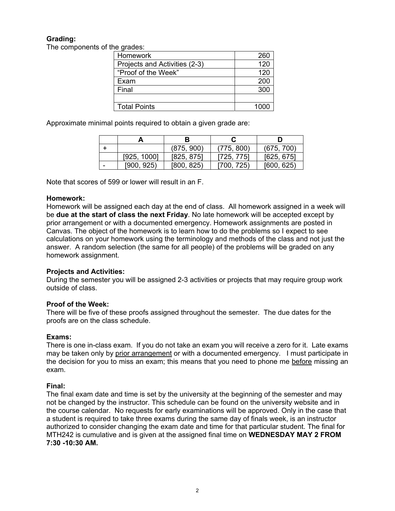# **Grading:**

The components of the grades:

| Homework                      | 260  |
|-------------------------------|------|
| Projects and Activities (2-3) | 120  |
| "Proof of the Week"           | 120  |
| Exam                          | 200  |
| Final                         | 300  |
|                               |      |
| <b>Total Points</b>           | 1000 |

Approximate minimal points required to obtain a given grade are:

|   |             |            |              | D          |
|---|-------------|------------|--------------|------------|
|   |             | (875, 900) | (775, 800)   | (675, 700) |
|   | [925, 1000] | [825, 875] | [725, 775]   | [625, 675] |
| - | [900, 925]  | [800, 825) | 725<br>!700, | [600, 625] |

Note that scores of 599 or lower will result in an F.

# **Homework:**

Homework will be assigned each day at the end of class. All homework assigned in a week will be **due at the start of class the next Friday**. No late homework will be accepted except by prior arrangement or with a documented emergency. Homework assignments are posted in Canvas. The object of the homework is to learn how to do the problems so I expect to see calculations on your homework using the terminology and methods of the class and not just the answer. A random selection (the same for all people) of the problems will be graded on any homework assignment.

# **Projects and Activities:**

During the semester you will be assigned 2-3 activities or projects that may require group work outside of class.

# **Proof of the Week:**

There will be five of these proofs assigned throughout the semester. The due dates for the proofs are on the class schedule.

# **Exams:**

There is one in-class exam. If you do not take an exam you will receive a zero for it. Late exams may be taken only by prior arrangement or with a documented emergency. I must participate in the decision for you to miss an exam; this means that you need to phone me before missing an exam.

# **Final:**

The final exam date and time is set by the university at the beginning of the semester and may not be changed by the instructor. This schedule can be found on the university website and in the course calendar. No requests for early examinations will be approved. Only in the case that a student is required to take three exams during the same day of finals week, is an instructor authorized to consider changing the exam date and time for that particular student. The final for MTH242 is cumulative and is given at the assigned final time on **WEDNESDAY MAY 2 FROM 7:30 -10:30 AM.**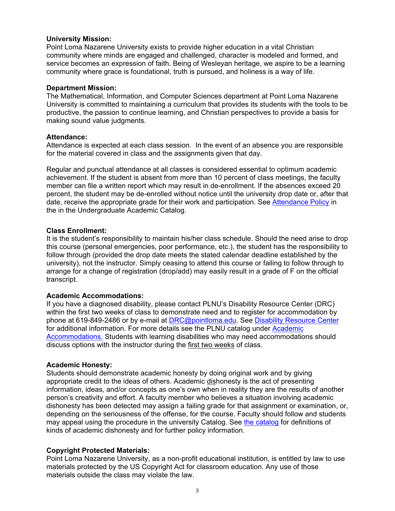#### **University Mission:**

Point Loma Nazarene University exists to provide higher education in a vital Christian community where minds are engaged and challenged, character is modeled and formed, and service becomes an expression of faith. Being of Wesleyan heritage, we aspire to be a learning community where grace is foundational, truth is pursued, and holiness is a way of life.

#### **Department Mission:**

The Mathematical, Information, and Computer Sciences department at Point Loma Nazarene University is committed to maintaining a curriculum that provides its students with the tools to be productive, the passion to continue learning, and Christian perspectives to provide a basis for making sound value judgments.

#### **Attendance:**

Attendance is expected at each class session. In the event of an absence you are responsible for the material covered in class and the assignments given that day.

Regular and punctual attendance at all classes is considered essential to optimum academic achievement. If the student is absent from more than 10 percent of class meetings, the faculty member can file a written report which may result in de-enrollment. If the absences exceed 20 percent, the student may be de-enrolled without notice until the university drop date or, after that date, receive the appropriate grade for their work and participation. See Attendance Policy in the in the Undergraduate Academic Catalog.

#### **Class Enrollment:**

It is the student's responsibility to maintain his/her class schedule. Should the need arise to drop this course (personal emergencies, poor performance, etc.), the student has the responsibility to follow through (provided the drop date meets the stated calendar deadline established by the university), not the instructor. Simply ceasing to attend this course or failing to follow through to arrange for a change of registration (drop/add) may easily result in a grade of F on the official transcript.

# **Academic Accommodations:**

If you have a diagnosed disability, please contact PLNU's Disability Resource Center (DRC) within the first two weeks of class to demonstrate need and to register for accommodation by phone at 619-849-2486 or by e-mail at DRC@pointloma.edu. See Disability Resource Center for additional information. For more details see the PLNU catalog under Academic Accommodations. Students with learning disabilities who may need accommodations should discuss options with the instructor during the first two weeks of class.

#### **Academic Honesty:**

Students should demonstrate academic honesty by doing original work and by giving appropriate credit to the ideas of others. Academic dishonesty is the act of presenting information, ideas, and/or concepts as one's own when in reality they are the results of another person's creativity and effort. A faculty member who believes a situation involving academic dishonesty has been detected may assign a failing grade for that assignment or examination, or, depending on the seriousness of the offense, for the course. Faculty should follow and students may appeal using the procedure in the university Catalog. See the catalog for definitions of kinds of academic dishonesty and for further policy information.

# **Copyright Protected Materials:**

Point Loma Nazarene University, as a non-profit educational institution, is entitled by law to use materials protected by the US Copyright Act for classroom education. Any use of those materials outside the class may violate the law.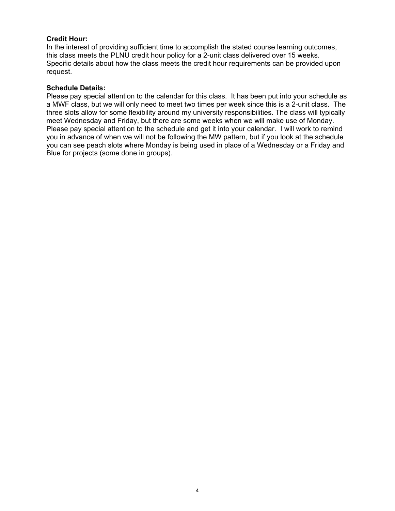# **Credit Hour:**

In the interest of providing sufficient time to accomplish the stated course learning outcomes, this class meets the PLNU credit hour policy for a 2-unit class delivered over 15 weeks. Specific details about how the class meets the credit hour requirements can be provided upon request.

#### **Schedule Details:**

Please pay special attention to the calendar for this class. It has been put into your schedule as a MWF class, but we will only need to meet two times per week since this is a 2-unit class. The three slots allow for some flexibility around my university responsibilities. The class will typically meet Wednesday and Friday, but there are some weeks when we will make use of Monday. Please pay special attention to the schedule and get it into your calendar. I will work to remind you in advance of when we will not be following the MW pattern, but if you look at the schedule you can see peach slots where Monday is being used in place of a Wednesday or a Friday and Blue for projects (some done in groups).